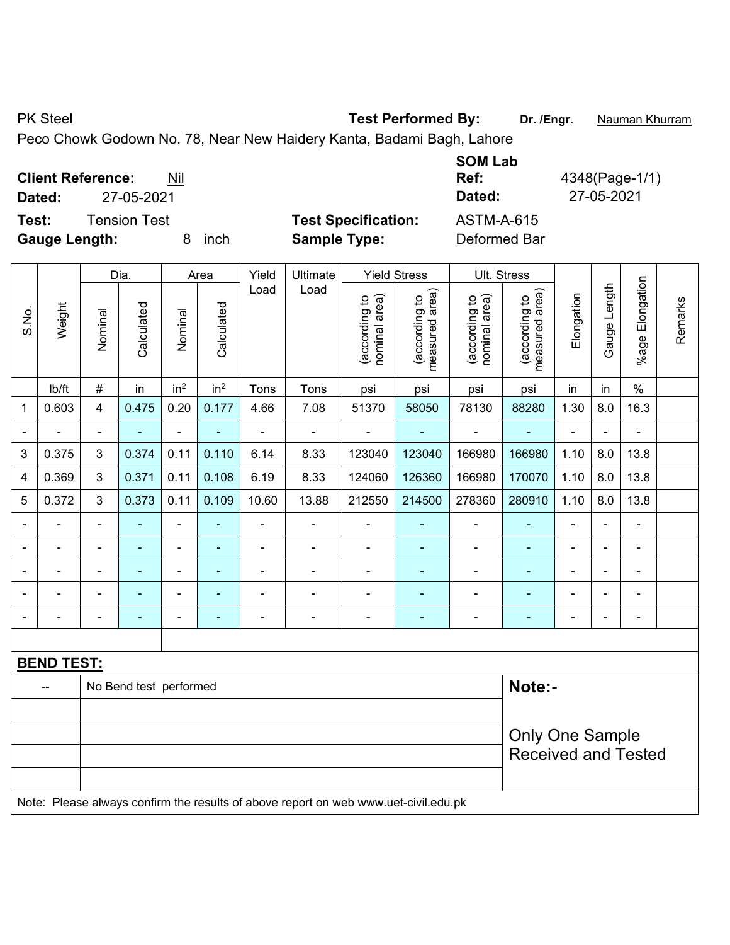PK Steel **Test Performed By:** Dr. /Engr. **Nauman Khurram** 

Peco Chowk Godown No. 78, Near New Haidery Kanta, Badami Bagh, Lahore

| <b>Client Reference:</b><br>Nil | <b>SOM Lab</b><br>Ref:                          | 4348(Page-1/1) |
|---------------------------------|-------------------------------------------------|----------------|
| 27-05-2021<br>Dated:            | Dated:                                          | 27-05-2021     |
| <b>Tension Test</b><br>Test:    | <b>Test Specification:</b><br><b>ASTM-A-615</b> |                |
| <b>Gauge Length:</b><br>inch    | <b>Sample Type:</b><br>Deformed Bar             |                |

|             |                   |                | Dia.                   |                              | Area            | Yield          | Ultimate                                                                             |                                | <b>Yield Stress</b>             |                                | Ult. Stress                     |                |              |                 |         |
|-------------|-------------------|----------------|------------------------|------------------------------|-----------------|----------------|--------------------------------------------------------------------------------------|--------------------------------|---------------------------------|--------------------------------|---------------------------------|----------------|--------------|-----------------|---------|
| S.No.       | Weight            | Nominal        | Calculated             | Nominal                      | Calculated      | Load           | Load                                                                                 | nominal area)<br>(according to | measured area)<br>(according to | nominal area)<br>(according to | (according to<br>measured area) | Elongation     | Gauge Length | %age Elongation | Remarks |
|             | lb/ft             | $\#$           | in                     | in <sup>2</sup>              | in <sup>2</sup> | Tons           | Tons                                                                                 | psi                            | psi                             | psi                            | psi                             | in             | in           | $\%$            |         |
| $\mathbf 1$ | 0.603             | $\overline{4}$ | 0.475                  | 0.20                         | 0.177           | 4.66           | 7.08                                                                                 | 51370                          | 58050                           | 78130                          | 88280                           | 1.30           | 8.0          | 16.3            |         |
|             |                   |                | L,                     | $\blacksquare$               |                 |                |                                                                                      |                                |                                 |                                |                                 | ÷.             |              |                 |         |
| 3           | 0.375             | 3              | 0.374                  | 0.11                         | 0.110           | 6.14           | 8.33                                                                                 | 123040                         | 123040                          | 166980                         | 166980                          | 1.10           | 8.0          | 13.8            |         |
| 4           | 0.369             | 3              | 0.371                  | 0.11                         | 0.108           | 6.19           | 8.33                                                                                 | 124060                         | 126360                          | 166980                         | 170070                          | 1.10           | 8.0          | 13.8            |         |
| 5           | 0.372             | 3              | 0.373                  | 0.11                         | 0.109           | 10.60          | 13.88                                                                                | 212550                         | 214500                          | 278360                         | 280910                          | 1.10           | 8.0          | 13.8            |         |
|             | ä,                | $\blacksquare$ | ÷,                     | $\blacksquare$               |                 | ÷,             | $\blacksquare$                                                                       | ÷,                             |                                 | $\blacksquare$                 | $\blacksquare$                  | $\blacksquare$ |              | $\blacksquare$  |         |
|             |                   |                | ÷,                     | $\overline{\phantom{a}}$     |                 |                |                                                                                      |                                |                                 |                                |                                 |                |              | $\blacksquare$  |         |
|             |                   |                |                        | -                            |                 |                | $\blacksquare$                                                                       | $\qquad \qquad \blacksquare$   |                                 |                                |                                 |                |              |                 |         |
|             |                   |                | ۰                      | $\qquad \qquad \blacksquare$ |                 |                |                                                                                      | ۰                              |                                 |                                | $\blacksquare$                  |                |              | $\blacksquare$  |         |
|             |                   |                | ÷,                     | $\overline{\phantom{0}}$     | ۰               | $\blacksquare$ | $\blacksquare$                                                                       | $\blacksquare$                 | ä,                              | $\blacksquare$                 | $\blacksquare$                  | $\blacksquare$ |              | $\blacksquare$  |         |
|             |                   |                |                        |                              |                 |                |                                                                                      |                                |                                 |                                |                                 |                |              |                 |         |
|             | <b>BEND TEST:</b> |                |                        |                              |                 |                |                                                                                      |                                |                                 |                                |                                 |                |              |                 |         |
|             |                   |                | No Bend test performed |                              |                 |                |                                                                                      |                                |                                 |                                | Note:-                          |                |              |                 |         |
|             |                   |                |                        |                              |                 |                |                                                                                      |                                |                                 |                                |                                 |                |              |                 |         |
|             |                   |                |                        |                              |                 |                |                                                                                      |                                |                                 | <b>Only One Sample</b>         |                                 |                |              |                 |         |
|             |                   |                |                        |                              |                 |                |                                                                                      |                                | <b>Received and Tested</b>      |                                |                                 |                |              |                 |         |
|             |                   |                |                        |                              |                 |                |                                                                                      |                                |                                 |                                |                                 |                |              |                 |         |
|             |                   |                |                        |                              |                 |                | Note: Dlogge always confirm the results of above report on web www.uet.oujil.edu.ply |                                |                                 |                                |                                 |                |              |                 |         |

Note: Please always confirm the results of above report on web www.uet-civil.edu.pk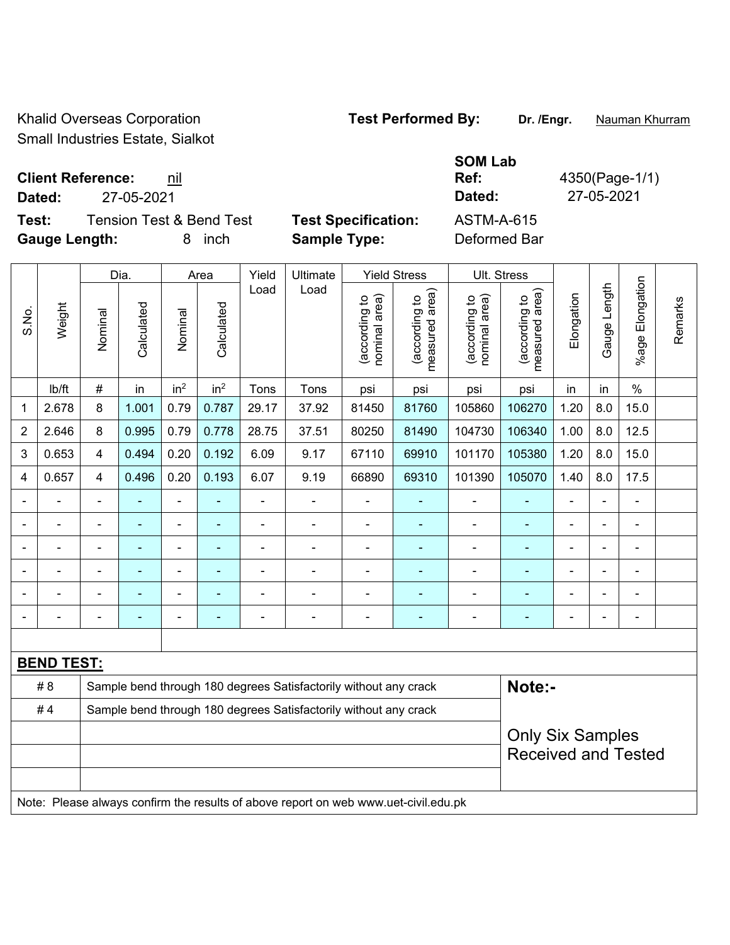Khalid Overseas Corporation **Test Performed By:** Dr. /Engr. **Nauman Khurram** Small Industries Estate, Sialkot

**Client Reference: nil Dated:** 27-05-2021 **Dated:** 27-05-2021 **Test:** Tension Test & Bend Test **Test Specification:** ASTM-A-615

**Gauge Length:** 8 inch **Sample Type:** Deformed Bar

**Ref:** 4350(Page-1/1)

|                |                   |                         | Dia.           |                 | Area            | Yield          | Ultimate                                                                            |                                | <b>Yield Stress</b>             | Ult. Stress                    |                                             |                |                |                       |         |
|----------------|-------------------|-------------------------|----------------|-----------------|-----------------|----------------|-------------------------------------------------------------------------------------|--------------------------------|---------------------------------|--------------------------------|---------------------------------------------|----------------|----------------|-----------------------|---------|
| S.No.          | Weight            | Nominal                 | Calculated     | Nominal         | Calculated      | Load           | Load                                                                                | nominal area)<br>(according to | measured area)<br>(according to | nominal area)<br>(according to | (according to<br>neasured area)<br>measured | Elongation     | Gauge Length   | Elongation<br>$%$ age | Remarks |
|                | Ib/ft             | $\#$                    | in             | in <sup>2</sup> | in <sup>2</sup> | Tons           | Tons                                                                                | psi                            | psi                             | psi                            | psi                                         | in             | in             | $\%$                  |         |
| 1              | 2.678             | 8                       | 1.001          | 0.79            | 0.787           | 29.17          | 37.92                                                                               | 81450                          | 81760                           | 105860                         | 106270                                      | 1.20           | 8.0            | 15.0                  |         |
| $\overline{2}$ | 2.646             | 8                       | 0.995          | 0.79            | 0.778           | 28.75          | 37.51                                                                               | 80250                          | 81490                           | 104730                         | 106340                                      | 1.00           | 8.0            | 12.5                  |         |
| 3              | 0.653             | $\overline{4}$          | 0.494          | 0.20            | 0.192           | 6.09           | 9.17                                                                                | 67110                          | 69910                           | 101170                         | 105380                                      | 1.20           | 8.0            | 15.0                  |         |
| 4              | 0.657             | $\overline{4}$          | 0.496          | 0.20            | 0.193           | 6.07           | 9.19                                                                                | 66890                          | 69310                           | 101390                         | 105070                                      | 1.40           | 8.0            | 17.5                  |         |
|                |                   | $\blacksquare$          |                |                 |                 |                | $\blacksquare$                                                                      | $\blacksquare$                 |                                 |                                |                                             |                |                |                       |         |
|                |                   |                         |                |                 |                 |                | $\blacksquare$                                                                      | $\blacksquare$                 |                                 |                                |                                             |                |                |                       |         |
|                |                   | $\blacksquare$          | ۰              | $\blacksquare$  |                 | $\blacksquare$ | $\blacksquare$                                                                      | $\blacksquare$                 | $\blacksquare$                  | $\blacksquare$                 | ÷                                           | $\blacksquare$ | $\blacksquare$ | $\blacksquare$        |         |
| $\blacksquare$ |                   | ä,                      | ä,             | ä,              | $\blacksquare$  | ÷              | $\blacksquare$                                                                      | $\blacksquare$                 | $\blacksquare$                  | $\blacksquare$                 | ÷                                           | L,             | ä,             | $\blacksquare$        |         |
|                |                   | $\blacksquare$          | $\blacksquare$ | $\blacksquare$  |                 | ÷              | $\blacksquare$                                                                      | $\blacksquare$                 |                                 | $\blacksquare$                 |                                             | Ē,             |                | $\blacksquare$        |         |
|                |                   | $\blacksquare$          | ÷              | $\blacksquare$  | $\blacksquare$  | ÷              | $\blacksquare$                                                                      | $\blacksquare$                 | $\blacksquare$                  | $\blacksquare$                 | ÷                                           | $\blacksquare$ |                | $\blacksquare$        |         |
|                |                   |                         |                |                 |                 |                |                                                                                     |                                |                                 |                                |                                             |                |                |                       |         |
|                | <b>BEND TEST:</b> |                         |                |                 |                 |                |                                                                                     |                                |                                 |                                |                                             |                |                |                       |         |
|                | #8                |                         |                |                 |                 |                | Sample bend through 180 degrees Satisfactorily without any crack                    |                                |                                 |                                | Note:-                                      |                |                |                       |         |
|                | #4                |                         |                |                 |                 |                | Sample bend through 180 degrees Satisfactorily without any crack                    |                                |                                 |                                |                                             |                |                |                       |         |
|                |                   | <b>Only Six Samples</b> |                |                 |                 |                |                                                                                     |                                |                                 |                                |                                             |                |                |                       |         |
|                |                   |                         |                |                 |                 |                |                                                                                     |                                |                                 |                                | <b>Received and Tested</b>                  |                |                |                       |         |
|                |                   |                         |                |                 |                 |                |                                                                                     |                                |                                 |                                |                                             |                |                |                       |         |
|                |                   |                         |                |                 |                 |                | Note: Please always confirm the results of above report on web www.uet-civil.edu.pk |                                |                                 |                                |                                             |                |                |                       |         |

**SOM Lab**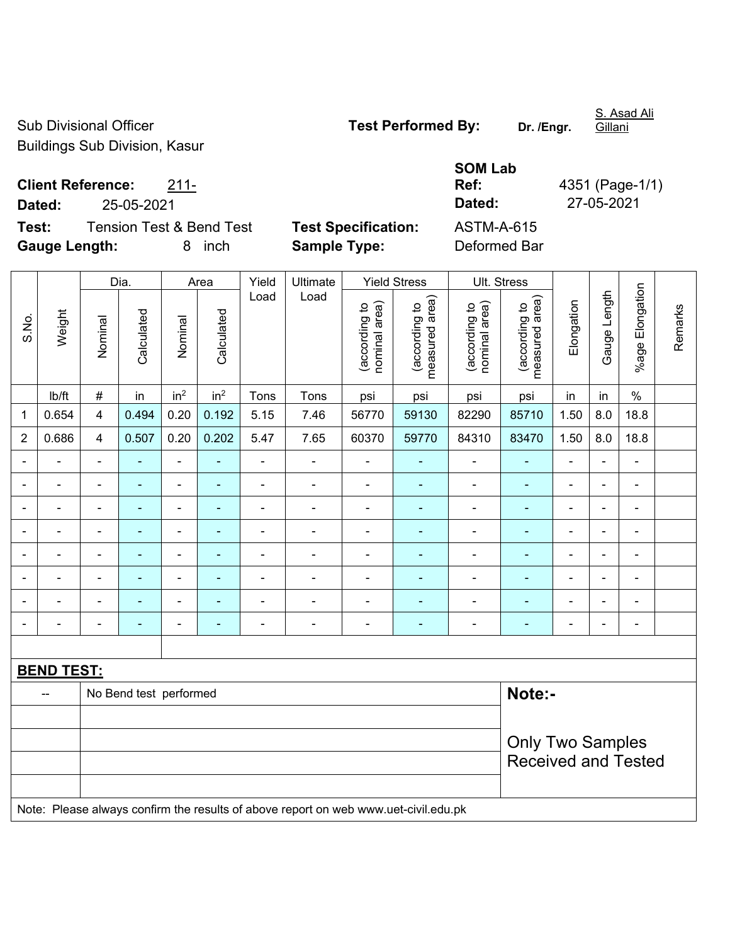Sub Divisional Officer **Test Performed By:** Dr. /Engr. Buildings Sub Division, Kasur

S. Asad Ali Gillani

**Client Reference:** 211-

**Dated:** 25-05-2021 **Dated:** 27-05-2021

**Test:** Tension Test & Bend Test **Test Specification: Gauge Length:** 8 inch **Sample Type:** Deformed Bar

| <b>SOM Lab</b> |                 |
|----------------|-----------------|
| Ref:           | 4351 (Page-1/1) |
| Dated:         | 27-05-2021      |
| ASTM-A-615     |                 |
| $\sim$ $\sim$  |                 |

|                |                   |                         | Dia.                   |                 | Area                     | Yield                    | Ultimate                                                                            |                                | <b>Yield Stress</b>             |                                | Ult. Stress                     |                |                |                 |         |
|----------------|-------------------|-------------------------|------------------------|-----------------|--------------------------|--------------------------|-------------------------------------------------------------------------------------|--------------------------------|---------------------------------|--------------------------------|---------------------------------|----------------|----------------|-----------------|---------|
| S.No.          | Weight            | Nominal                 | Calculated             | Nominal         | Calculated               | Load                     | Load                                                                                | nominal area)<br>(according to | (according to<br>measured area) | nominal area)<br>(according to | measured area)<br>(according to | Elongation     | Gauge Length   | %age Elongation | Remarks |
|                | Ib/ft             | $\#$                    | in                     | in <sup>2</sup> | in <sup>2</sup>          | Tons                     | Tons                                                                                | psi                            | psi                             | psi                            | psi                             | in             | in             | $\%$            |         |
| 1              | 0.654             | $\overline{\mathbf{4}}$ | 0.494                  | 0.20            | 0.192                    | 5.15                     | 7.46                                                                                | 56770                          | 59130                           | 82290                          | 85710                           | 1.50           | 8.0            | 18.8            |         |
| $\overline{2}$ | 0.686             | $\overline{\mathbf{4}}$ | 0.507                  | 0.20            | 0.202                    | 5.47                     | 7.65                                                                                | 60370                          | 59770                           | 84310                          | 83470                           | 1.50           | 8.0            | 18.8            |         |
| $\blacksquare$ | ä,                | $\blacksquare$          | $\blacksquare$         | $\blacksquare$  | $\tilde{\phantom{a}}$    | $\overline{\phantom{a}}$ | $\overline{\phantom{a}}$                                                            | $\blacksquare$                 | $\blacksquare$                  | $\blacksquare$                 | $\blacksquare$                  | $\blacksquare$ | ä,             | $\blacksquare$  |         |
|                | $\blacksquare$    | $\blacksquare$          | $\blacksquare$         | $\blacksquare$  | ä,                       | $\frac{1}{2}$            | ÷                                                                                   | $\blacksquare$                 | ÷                               | ÷,                             | $\blacksquare$                  | ä,             | $\blacksquare$ | $\blacksquare$  |         |
|                |                   |                         | $\blacksquare$         | $\blacksquare$  |                          | $\blacksquare$           | ÷                                                                                   | $\blacksquare$                 | $\overline{\phantom{0}}$        | $\overline{a}$                 | $\blacksquare$                  | ۰              | $\blacksquare$ | $\blacksquare$  |         |
|                |                   | $\blacksquare$          | ÷                      | $\blacksquare$  |                          | ÷,                       | ÷,                                                                                  | $\blacksquare$                 | $\blacksquare$                  | ÷,                             | $\blacksquare$                  | $\blacksquare$ | $\blacksquare$ | $\blacksquare$  |         |
| $\blacksquare$ |                   | $\blacksquare$          | ÷                      | $\blacksquare$  | $\overline{\phantom{0}}$ | $\overline{\phantom{a}}$ | ÷                                                                                   | $\blacksquare$                 | $\overline{a}$                  | ÷                              | ÷,                              | -              | $\blacksquare$ | $\blacksquare$  |         |
| $\blacksquare$ | $\blacksquare$    | $\blacksquare$          | $\blacksquare$         | $\blacksquare$  | $\sim$                   | $\frac{1}{2}$            | $\blacksquare$                                                                      | $\blacksquare$                 | $\blacksquare$                  | $\overline{\phantom{0}}$       | $\blacksquare$                  | $\blacksquare$ | ÷,             | $\blacksquare$  |         |
|                | ä,                | $\blacksquare$          | $\blacksquare$         | $\blacksquare$  | ٠                        | ÷,                       | ÷                                                                                   | $\blacksquare$                 | ٠                               | ÷,                             | $\blacksquare$                  | L,             | Ē,             | $\blacksquare$  |         |
|                | $\blacksquare$    | $\blacksquare$          | $\blacksquare$         | $\blacksquare$  | $\blacksquare$           | $\frac{1}{2}$            | ÷                                                                                   | $\blacksquare$                 | $\blacksquare$                  | $\overline{\phantom{0}}$       | $\blacksquare$                  | ÷,             | $\blacksquare$ | $\blacksquare$  |         |
|                |                   |                         |                        |                 |                          |                          |                                                                                     |                                |                                 |                                |                                 |                |                |                 |         |
|                | <b>BEND TEST:</b> |                         |                        |                 |                          |                          |                                                                                     |                                |                                 |                                |                                 |                |                |                 |         |
|                | $-$               |                         | No Bend test performed |                 |                          |                          |                                                                                     |                                |                                 |                                | Note:-                          |                |                |                 |         |
|                |                   |                         |                        |                 |                          |                          |                                                                                     |                                |                                 |                                |                                 |                |                |                 |         |
|                |                   |                         |                        |                 |                          |                          |                                                                                     |                                |                                 | <b>Only Two Samples</b>        |                                 |                |                |                 |         |
|                |                   |                         |                        |                 |                          |                          |                                                                                     |                                | <b>Received and Tested</b>      |                                |                                 |                |                |                 |         |
|                |                   |                         |                        |                 |                          |                          | Note: Please always confirm the results of above report on web www.uet-civil.edu.pk |                                |                                 |                                |                                 |                |                |                 |         |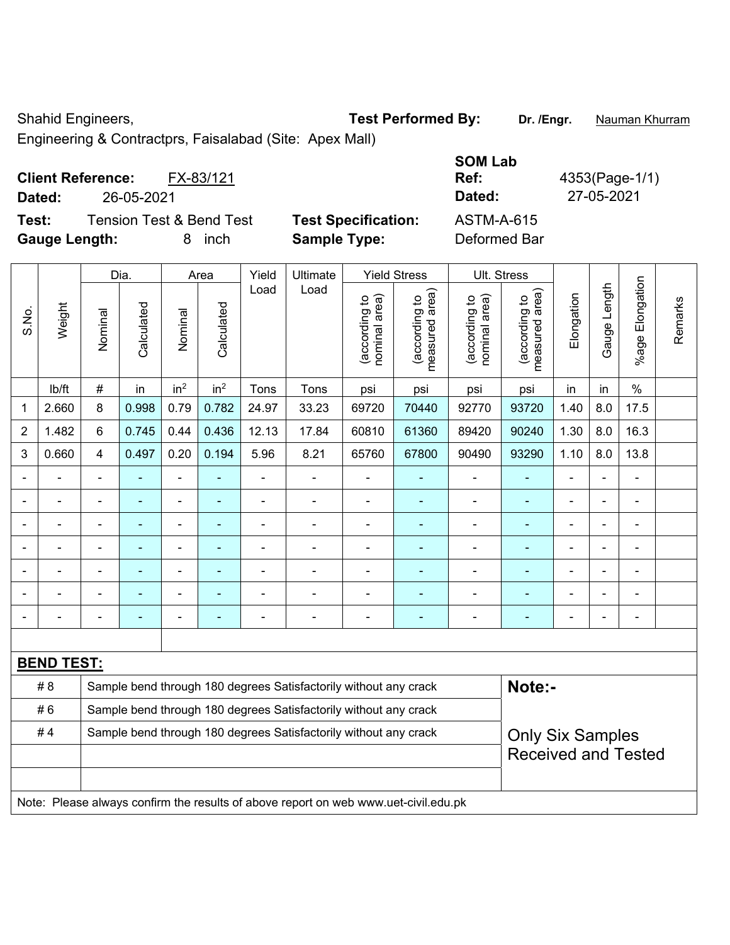Shahid Engineers, **Test Performed By:** Dr. /Engr. **Nauman Khurram** 

Engineering & Contractprs, Faisalabad (Site: Apex Mall)

|                      | <b>Client Reference:</b> | FX-83/121                           |                            | Ref:         | 4353(Page-1/ |
|----------------------|--------------------------|-------------------------------------|----------------------------|--------------|--------------|
| Dated:               | 26-05-2021               |                                     |                            | Dated:       | 27-05-2021   |
| Test:                |                          | <b>Tension Test &amp; Bend Test</b> | <b>Test Specification:</b> | ASTM-A-615   |              |
| <b>Gauge Length:</b> |                          | inch                                | <b>Sample Type:</b>        | Deformed Bar |              |

| <b>SOM Lab</b><br>Ref:<br>Dated: | 4353(Page-1/1)<br>27-05-2021 |
|----------------------------------|------------------------------|
| ASTM-A-615                       |                              |
| Deformed Rar                     |                              |

|                |                                                                        |                         | Dia.           |                 | Area            | Yield          | Ultimate                                                                            |                                | <b>Yield Stress</b>             |                                | Ult. Stress                     |                |                |                          |         |
|----------------|------------------------------------------------------------------------|-------------------------|----------------|-----------------|-----------------|----------------|-------------------------------------------------------------------------------------|--------------------------------|---------------------------------|--------------------------------|---------------------------------|----------------|----------------|--------------------------|---------|
| S.No.          | Weight                                                                 | Nominal                 | Calculated     | Nominal         | Calculated      | Load           | Load                                                                                | nominal area)<br>(according to | measured area)<br>(according to | (according to<br>nominal area) | (according to<br>measured area) | Elongation     | Gauge Length   | Elongation<br>$%$ age    | Remarks |
|                | Ib/ft                                                                  | #                       | in             | in <sup>2</sup> | in <sup>2</sup> | Tons           | Tons                                                                                | psi                            | psi                             | psi                            | psi                             | in             | in             | $\%$                     |         |
| 1              | 2.660                                                                  | 8                       | 0.998          | 0.79            | 0.782           | 24.97          | 33.23                                                                               | 69720                          | 70440                           | 92770                          | 93720                           | 1.40           | 8.0            | 17.5                     |         |
| $\overline{2}$ | 1.482                                                                  | 6                       | 0.745          | 0.44            | 0.436           | 12.13          | 17.84                                                                               | 60810                          | 61360                           | 89420                          | 90240                           | 1.30           | 8.0            | 16.3                     |         |
| 3              | 0.660                                                                  | $\overline{\mathbf{4}}$ | 0.497          | 0.20            | 0.194           | 5.96           | 8.21                                                                                | 65760                          | 67800                           | 90490                          | 93290                           | 1.10           | 8.0            | 13.8                     |         |
|                |                                                                        |                         |                |                 |                 |                | ä,                                                                                  |                                |                                 |                                |                                 |                |                |                          |         |
|                |                                                                        |                         |                | $\blacksquare$  |                 | $\blacksquare$ | $\blacksquare$                                                                      | $\blacksquare$                 | $\blacksquare$                  | $\blacksquare$                 | $\blacksquare$                  |                |                | $\blacksquare$           |         |
|                | ÷                                                                      | $\blacksquare$          |                |                 | ä,              |                |                                                                                     | ä,                             |                                 | $\blacksquare$                 | $\blacksquare$                  |                |                | ä,                       |         |
| $\blacksquare$ |                                                                        | $\blacksquare$          | $\blacksquare$ | $\blacksquare$  | ۰               | Ē,             | $\blacksquare$                                                                      | $\blacksquare$                 | ÷                               | ۰                              | $\blacksquare$                  | $\blacksquare$ | $\blacksquare$ | $\overline{\phantom{a}}$ |         |
| $\blacksquare$ | $\blacksquare$                                                         | $\blacksquare$          | ÷              | $\blacksquare$  | $\blacksquare$  | $\blacksquare$ | $\blacksquare$                                                                      | $\blacksquare$                 | $\blacksquare$                  | $\overline{\phantom{a}}$       | $\blacksquare$                  | $\blacksquare$ | $\blacksquare$ | $\blacksquare$           |         |
|                | ÷                                                                      | ä,                      | ä,             | ÷               | L,              | L,             | ÷                                                                                   | $\blacksquare$                 | L,                              | ä,                             | ä,                              |                |                | ÷,                       |         |
|                | $\blacksquare$                                                         | $\blacksquare$          | $\blacksquare$ | $\blacksquare$  | ۰               | $\blacksquare$ | ÷.                                                                                  | $\blacksquare$                 | ۰                               | $\blacksquare$                 | ä,                              | $\blacksquare$ |                | $\blacksquare$           |         |
|                |                                                                        |                         |                |                 |                 |                |                                                                                     |                                |                                 |                                |                                 |                |                |                          |         |
|                | <b>BEND TEST:</b>                                                      |                         |                |                 |                 |                |                                                                                     |                                |                                 |                                |                                 |                |                |                          |         |
|                | # 8                                                                    |                         |                |                 |                 |                | Sample bend through 180 degrees Satisfactorily without any crack                    |                                |                                 |                                | Note:-                          |                |                |                          |         |
|                | #6<br>Sample bend through 180 degrees Satisfactorily without any crack |                         |                |                 |                 |                |                                                                                     |                                |                                 |                                |                                 |                |                |                          |         |
|                | #4<br>Sample bend through 180 degrees Satisfactorily without any crack |                         |                |                 |                 |                |                                                                                     | <b>Only Six Samples</b>        |                                 |                                |                                 |                |                |                          |         |
|                |                                                                        |                         |                |                 |                 |                |                                                                                     | <b>Received and Tested</b>     |                                 |                                |                                 |                |                |                          |         |
|                |                                                                        |                         |                |                 |                 |                |                                                                                     |                                |                                 |                                |                                 |                |                |                          |         |
|                |                                                                        |                         |                |                 |                 |                | Note: Please always confirm the results of above report on web www.uet-civil.edu.pk |                                |                                 |                                |                                 |                |                |                          |         |